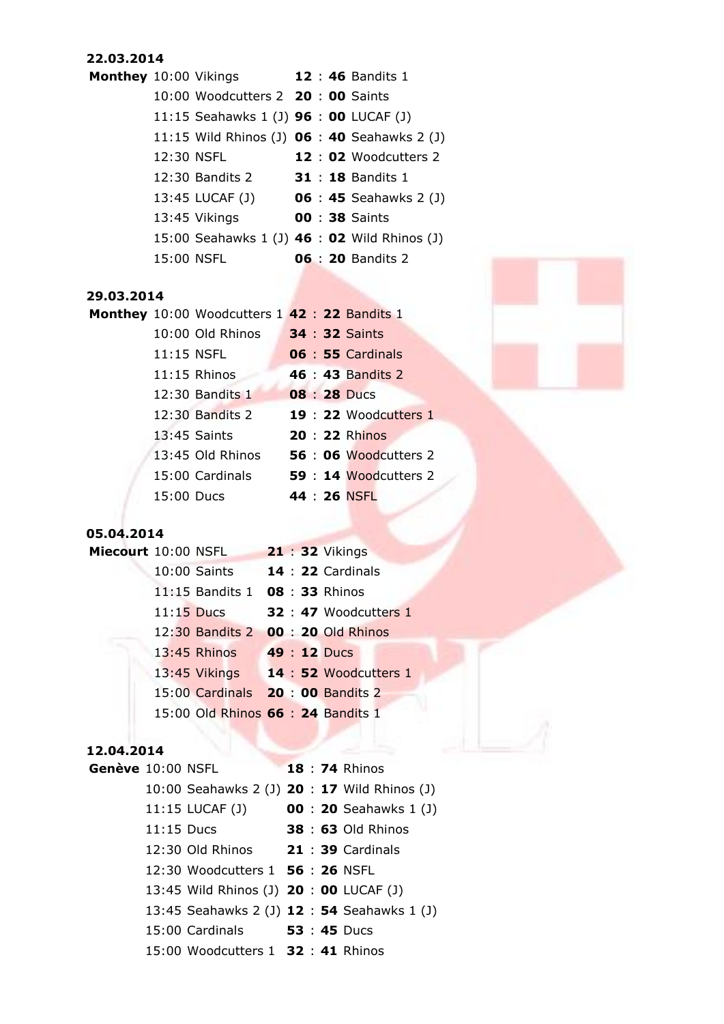#### **22.03.2014**

| Monthey 10:00 Vikings |            |                                               |  | 12 : 46 Bandits 1             |
|-----------------------|------------|-----------------------------------------------|--|-------------------------------|
|                       |            | 10:00 Woodcutters 2 20:00 Saints              |  |                               |
|                       |            | 11:15 Seahawks 1 (J) <b>96 : 00</b> LUCAF (J) |  |                               |
|                       |            | 11:15 Wild Rhinos (J) 06 : 40 Seahawks 2 (J)  |  |                               |
|                       | 12:30 NSFL |                                               |  | 12 : 02 Woodcutters 2         |
|                       |            | 12:30 Bandits 2                               |  | <b>31 : 18 Bandits 1</b>      |
|                       |            | 13:45 LUCAF (J)                               |  | <b>06 : 45</b> Seahawks 2 (J) |
|                       |            | 13:45 Vikings                                 |  | <b>00 : 38 Saints</b>         |
|                       |            | 15:00 Seahawks 1 (J) 46 : 02 Wild Rhinos (J)  |  |                               |
|                       |            | 15:00 NSFL                                    |  | <b>06 : 20 Bandits 2</b>      |

#### **29.03.2014**

**Monthey** 10:00 Woodcutters 1 **42** : **22** Bandits 1 10:00 Old Rhinos **34** : **32** Saints 11:15 NSFL **06** : **55** Cardinals 11:15 Rhinos **46** : **43** Bandits 2 12:30 Bandits 1 **08** : **28** Ducs 12:30 Bandits 2 **19** : **22** Woodcutters 1 13:45 Saints **20** : **22** Rhinos 13:45 Old Rhinos **56** : **06** Woodcutters 2 15:00 Cardinals **59** : **14** Woodcutters 2 15:00 Ducs **44** : **26** NSFL



## **05.04.2014**

|  | Miecourt 10:00 NSFL<br>$10:00$ Saints<br>$11:15$ Ducs<br>$13:45$ Rhinos |  | <b>21: 32 Vikings</b><br><b>14 : 22 Cardinals</b><br>11:15 Bandits 1 08:33 Rhinos<br><b>32 : 47 Woodcutters 1</b><br>12:30 Bandits 2 00: 20 Old Rhinos<br>49 : 12 Ducs<br>13:45 Vikings 14 : 52 Woodcutters 1<br>15:00 Cardinals 20:00 Bandits 2<br>15:00 Old Rhinos 66 : 24 Bandits 1 |
|--|-------------------------------------------------------------------------|--|----------------------------------------------------------------------------------------------------------------------------------------------------------------------------------------------------------------------------------------------------------------------------------------|

#### **12.04.2014**

| Genève 10:00 NSFL |              |                                              |  | <b>18: 74 Rhinos</b>          |
|-------------------|--------------|----------------------------------------------|--|-------------------------------|
|                   |              | 10:00 Seahawks 2 (J) 20 : 17 Wild Rhinos (J) |  |                               |
|                   |              | 11:15 LUCAF (J)                              |  | <b>00 : 20</b> Seahawks 1 (J) |
|                   | $11:15$ Ducs |                                              |  | 38 : 63 Old Rhinos            |
|                   |              | 12:30 Old Rhinos 21:39 Cardinals             |  |                               |
|                   |              | 12:30 Woodcutters 1 56: 26 NSFL              |  |                               |
|                   |              | 13:45 Wild Rhinos (J) 20: 00 LUCAF (J)       |  |                               |
|                   |              | 13:45 Seahawks 2 (J) 12 : 54 Seahawks 1 (J)  |  |                               |
|                   |              | 15:00 Cardinals 53 : 45 Ducs                 |  |                               |
|                   |              | 15:00 Woodcutters 1 32 : 41 Rhinos           |  |                               |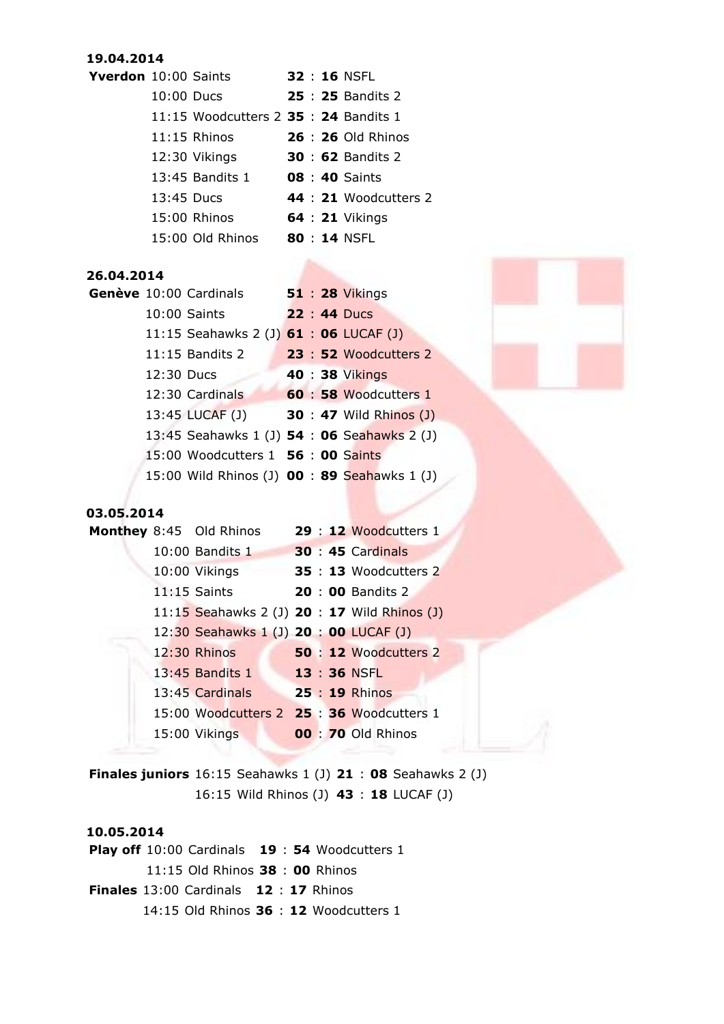#### **19.04.2014**

| <b>Yverdon</b> 10:00 Saints |              |                                      |  | <b>32 : 16 NSFL</b>       |
|-----------------------------|--------------|--------------------------------------|--|---------------------------|
|                             | $10:00$ Ducs |                                      |  | <b>25 : 25 Bandits 2</b>  |
|                             |              | 11:15 Woodcutters 2 35: 24 Bandits 1 |  |                           |
|                             |              | $11:15$ Rhinos                       |  | <b>26 : 26 Old Rhinos</b> |
|                             |              | 12:30 Vikings                        |  | <b>30 : 62 Bandits 2</b>  |
|                             |              | 13:45 Bandits 1                      |  | <b>08 : 40 Saints</b>     |
|                             | 13:45 Ducs   |                                      |  | 44 : 21 Woodcutters 2     |
|                             |              | 15:00 Rhinos                         |  | <b>64 : 21 Vikings</b>    |
|                             |              | 15:00 Old Rhinos                     |  | 80 : 14 NSFL              |

## **26.04.2014**

|            | Genève 10:00 Cardinals                       |  | 51 : 28 Vikings                |
|------------|----------------------------------------------|--|--------------------------------|
|            | 10:00 Saints                                 |  | 22 : 44 Ducs                   |
|            | 11:15 Seahawks 2 (J) 61 : 06 LUCAF (J)       |  |                                |
|            | 11:15 Bandits 2                              |  | 23 : 52 Woodcutters 2          |
| 12:30 Ducs |                                              |  | 40 : 38 Vikings                |
|            | 12:30 Cardinals                              |  | 60 : 58 Woodcutters 1          |
|            | 13:45 LUCAF (J)                              |  | <b>30 : 47 Wild Rhinos (J)</b> |
|            | 13:45 Seahawks 1 (J) 54 : 06 Seahawks 2 (J)  |  |                                |
|            | 15:00 Woodcutters 1 56 : 00 Saints           |  |                                |
|            | 15:00 Wild Rhinos (J) 00 : 89 Seahawks 1 (J) |  |                                |

## **03.05.2014**

|  | <b>Monthey 8:45 Old Rhinos</b>               |  | 29 : 12 Woodcutters 1        |
|--|----------------------------------------------|--|------------------------------|
|  | 10:00 Bandits 1                              |  | <b>30 : 45 Cardinals</b>     |
|  | 10:00 Vikings                                |  | <b>35 : 13</b> Woodcutters 2 |
|  | $11:15$ Saints                               |  | <b>20: 00 Bandits 2</b>      |
|  | 11:15 Seahawks 2 (J) 20 : 17 Wild Rhinos (J) |  |                              |
|  | 12:30 Seahawks 1 (J) 20 : 00 LUCAF (J)       |  |                              |
|  | 12:30 Rhinos                                 |  | 50 : 12 Woodcutters 2        |
|  | $13:45$ Bandits $1$                          |  | 13:36 NSFL                   |
|  | 13:45 Cardinals                              |  | 25 : 19 Rhinos               |
|  | 15:00 Woodcutters 2 25:36 Woodcutters 1      |  |                              |
|  | 15:00 Vikings                                |  | <b>00: 70 Old Rhinos</b>     |
|  |                                              |  |                              |

**Finales juniors** 16:15 Seahawks 1 (J) **21** : **08** Seahawks 2 (J) 16:15 Wild Rhinos (J) **43** : **18** LUCAF (J)

## **10.05.2014**

**Play off** 10:00 Cardinals **19** : **54** Woodcutters 1 11:15 Old Rhinos **38** : **00** Rhinos **Finales** 13:00 Cardinals **12** : **17** Rhinos 14:15 Old Rhinos **36** : **12** Woodcutters 1